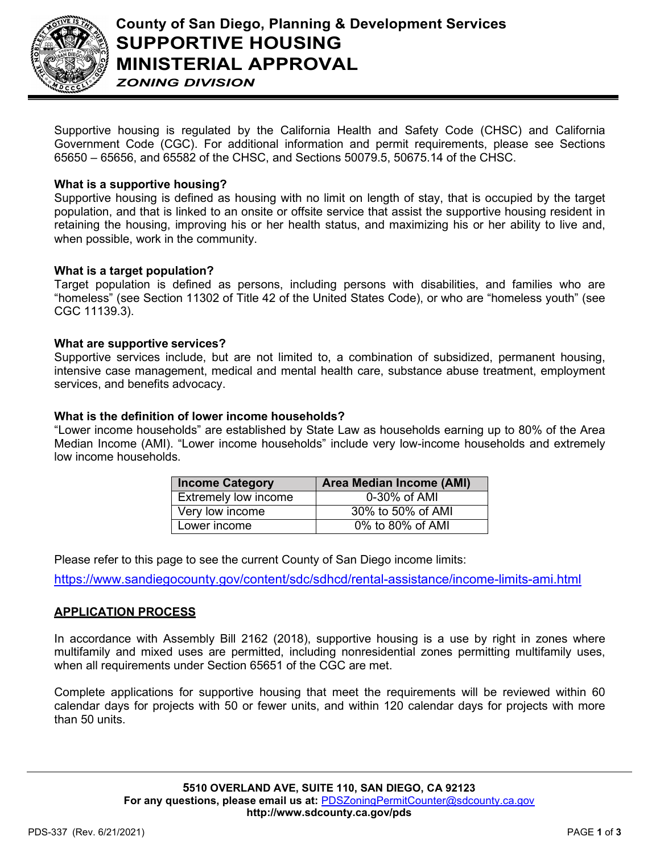

Supportive housing is regulated by the California Health and Safety Code (CHSC) and California Government Code (CGC). For additional information and permit requirements, please see Sections 65650 – 65656, and 65582 of the CHSC, and Sections 50079.5, 50675.14 of the CHSC.

#### **What is a supportive housing?**

Supportive housing is defined as housing with no limit on length of stay, that is occupied by the target population, and that is linked to an onsite or offsite service that assist the supportive housing resident in retaining the housing, improving his or her health status, and maximizing his or her ability to live and, when possible, work in the community.

## **What is a target population?**

Target population is defined as persons, including persons with disabilities, and families who are "homeless" (see Section 11302 of Title 42 of the United States Code), or who are "homeless youth" (see CGC 11139.3).

## **What are supportive services?**

Supportive services include, but are not limited to, a combination of subsidized, permanent housing, intensive case management, medical and mental health care, substance abuse treatment, employment services, and benefits advocacy.

## **What is the definition of lower income households?**

"Lower income households" are established by State Law as households earning up to 80% of the Area Median Income (AMI). "Lower income households" include very low-income households and extremely low income households.

| <b>Income Category</b>      | <b>Area Median Income (AMI)</b> |
|-----------------------------|---------------------------------|
| <b>Extremely low income</b> | 0-30% of AMI                    |
| Very low income             | 30% to 50% of AMI               |
| Lower income                | 0% to 80% of AMI                |

Please refer to this page to see the current County of San Diego income limits:

<https://www.sandiegocounty.gov/content/sdc/sdhcd/rental-assistance/income-limits-ami.html>

#### **APPLICATION PROCESS**

In accordance with Assembly Bill 2162 (2018), supportive housing is a use by right in zones where multifamily and mixed uses are permitted, including nonresidential zones permitting multifamily uses, when all requirements under Section 65651 of the CGC are met.

Complete applications for supportive housing that meet the requirements will be reviewed within 60 calendar days for projects with 50 or fewer units, and within 120 calendar days for projects with more than 50 units.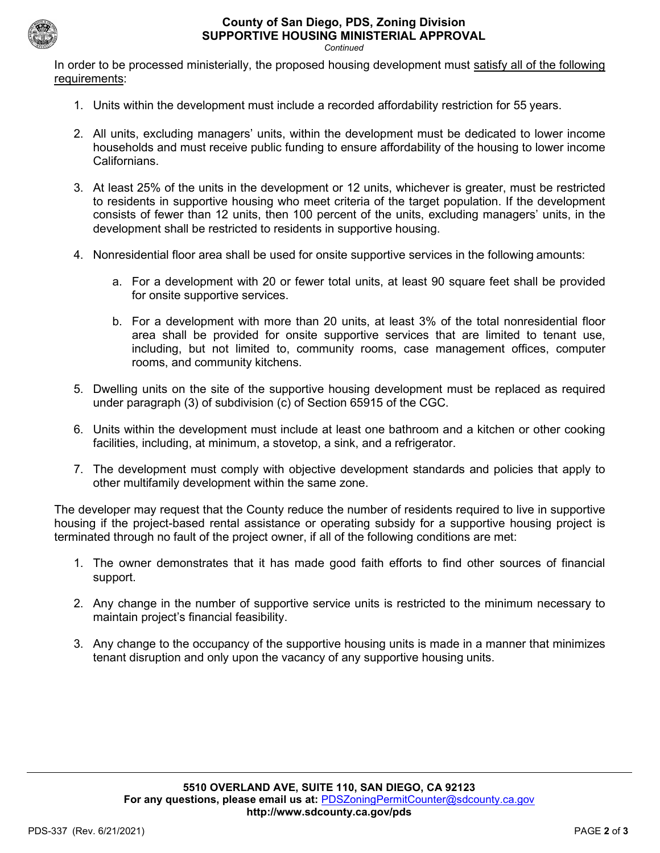

# **County of San Diego, PDS, Zoning Division SUPPORTIVE HOUSING MINISTERIAL APPROVAL**

*Continued*

In order to be processed ministerially, the proposed housing development must satisfy all of the following requirements:

- 1. Units within the development must include a recorded affordability restriction for 55 years.
- 2. All units, excluding managers' units, within the development must be dedicated to lower income households and must receive public funding to ensure affordability of the housing to lower income Californians.
- 3. At least 25% of the units in the development or 12 units, whichever is greater, must be restricted to residents in supportive housing who meet criteria of the target population. If the development consists of fewer than 12 units, then 100 percent of the units, excluding managers' units, in the development shall be restricted to residents in supportive housing.
- 4. Nonresidential floor area shall be used for onsite supportive services in the following amounts:
	- a. For a development with 20 or fewer total units, at least 90 square feet shall be provided for onsite supportive services.
	- b. For a development with more than 20 units, at least 3% of the total nonresidential floor area shall be provided for onsite supportive services that are limited to tenant use, including, but not limited to, community rooms, case management offices, computer rooms, and community kitchens.
- 5. Dwelling units on the site of the supportive housing development must be replaced as required under paragraph (3) of subdivision (c) of Section 65915 of the CGC.
- 6. Units within the development must include at least one bathroom and a kitchen or other cooking facilities, including, at minimum, a stovetop, a sink, and a refrigerator.
- 7. The development must comply with objective development standards and policies that apply to other multifamily development within the same zone.

The developer may request that the County reduce the number of residents required to live in supportive housing if the project-based rental assistance or operating subsidy for a supportive housing project is terminated through no fault of the project owner, if all of the following conditions are met:

- 1. The owner demonstrates that it has made good faith efforts to find other sources of financial support.
- 2. Any change in the number of supportive service units is restricted to the minimum necessary to maintain project's financial feasibility.
- 3. Any change to the occupancy of the supportive housing units is made in a manner that minimizes tenant disruption and only upon the vacancy of any supportive housing units.